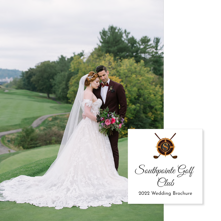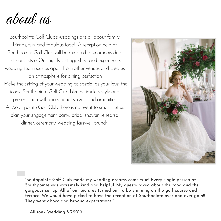about us

Southpointe Golf Club's weddings are all about family, friends, fun, and fabulous food! A reception held at Southpointe Golf Club will be mirrored to your individual taste and style. Our highly distinguished and experienced wedding team sets us apart from other venues and creates an atmosphere for dining perfection. Make the setting of your wedding as special as your love, the iconic Southpointe Golf Club blends timeless style and presentation with exceptional service and amenities. At Southpointe Golf Club there is no event to small. Let us plan your engagement party, bridal shower, rehearsal dinner, ceremony, wedding farewell brunch!



"Southpointe Golf Club made my wedding dreams come true! Every single person at Southpointe was extremely kind and helpful. My guests raved about the food and the gorgeous set up! All of our pictures turned out to be stunning on the golf course and terrace. We would have picked to have the reception at Southpointe over and over gain!! They went above and beyond expectations."

~ Allison– Wedding 8.3.2019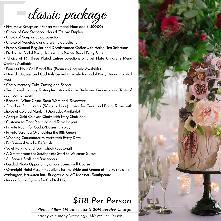classic package

- Five Hour Reception (For an Additional Hour add \$1,500.00)
- Choice of One Stationed Hors d 'Oeuvre Display
- Choice of Soup or Salad Selection
- Choice of Vegetable and Starch Side Selection
- Freshly Ground Regular and Decaffeinated Coffee with Herbal Tea Selections
- Dedicated Bridal Party Hostess with Private Bridal Party Suite
- Choice of (3) Three Plated Entrée Selections or Duet Plate. Children's Menu Options Available
- Four (4) Hour Call Brand Bar (Premium Upgrade Available)
- Hors d 'Oeuvres and Cocktails Served Privately for Bridal Party During Cocktail Hour
- Complimentary Cake Cutting and Service
- Two Complimentary Tasting Invitations for the Bride and Groom to our "Taste of Southpointe" Event
- Beautiful White China, Stem Ware and Silverware
- Standard Southpointe (White or Ivory) Linens for Guest and Bridal Tables with
- Choice of Colored Napkin. (Upgrades Available)
- Antique Gold Chiavari Chairs with Ivory Chair Pad
- Customized Floor Planning and Table Layout
- Private Room for Cookie/Dessert Display
- Private Veranda Overlooking the 18th Green
- Wedding Coordinator to Assist with Every Detail
- Professional Vendor Referrals
- Valet Parking and Coat Check (Seasonal)
- A Greeter from the Southpointe Staff to Welcome Guests
- All Service Staff and Bartenders
- Guided Photo Opportunity on our Scenic Golf Course
- Overnight Hotel Accommodations for the Bride and Groom at the Fairfield Inn– Washington, Hampton Inn– Bridgeville, or AC Marriott– Southpointe
- Indoor Sound System for Cocktail Hour

## *\$118 Per Person*

#### *Please Allow 6% Sales Tax & 20% Service Charge*

Friday & Sunday Weddings -\$10 off Per Person

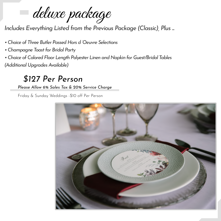deluxe package

*Includes Everything Listed from the Previous Package (Classic), Plus ...*

- *• Choice of Three Butler Passed Hors d 'Oeuvre Selections*
- *• Champagne Toastfor Bridal Party*
- *• Choice of Colored Floor Length Polyester Linen and Napkin for Guest/Bridal Tables (Additional Upgrades Available)*

### *\$127 Per Person*

#### *Please Allow 6% Sales Tax & 20% Service Charge*

Friday & Sunday Weddings -\$10 off Per Person

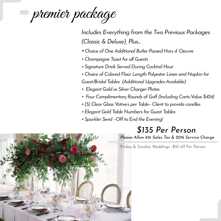premier package

*Includes Everything from the Two Previous Packages (Classic & Deluxe), Plus...*

- *•Choice of One Additional Butler Passed Hors d 'Oeuvre*
- *• Champagne Toastfor all Guests*
- *• Signature Drink Served During Cocktail Hour*
- *• Choice of Colored Floor Length Polyester Linen and Napkin for Guest/Bridal Tables (Additional Upgrades Available)*
- *• Elegant Gold or Silver Charger Plates*
- *• Four Complimentary Rounds of Golf(Including Carts-Value \$424)*
- *• (3) Clear Glass Votive's per Table– Clientto provide candles*
- *• Elegant Gold Table Numbers for Guest Tables*
- *• Sparkler Send –Offto End the Evening!*

### *\$135 Per Person*

*Please Allow 6% Sales Tax & 20% Service Charge*

Friday & Sunday Weddings -\$10 off Per Person

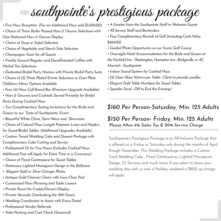southpointe 's prestigious package

- *• Five Hour Reception (For an Additional Hour add \$1,500.00)*
- *• Choice of Three Butler Passed Hors d 'Oeuvre Selections with One Stationed Hors d 'Oeuvre Display*
- *• Choice of Soup or Salad Selection*
- *• Choice of Vegetable and Starch Side Selection*
- *• Champagne Toast for all Guests*
- *• Freshly Ground Regular and Decaffeinated Coffee with Herbal Tea Selections*
- *• Dedicated Bridal Party Hostess with Private Bridal Party Suite*
- *• Choice of (3) Three Plated Entrée Selections or Duet Plate. Children's Menu Options Available*
- *• Four (4) Hour Call Brand Bar (Premium Upgrade Available)*
- *• Hors d 'Oeuvres and Cocktails Served Privately for Bridal Party During Cocktail Hour*
- *• Two Complimentary Tasting Invitations for the Bride and Groom to our "Taste of Southpointe" Event*
- *• Beautiful White China, Stem Ware and Silverware*
- *• Choice of Colored Floor Length Polyester Linen and Napkin for Guest/Bridal Tables (Additional Upgrades Available)*
- *• Custom Tiered Wedding Cake and Dessert Package with Complimentary Cake Cutting and Service*
- *• Professional DJ for Five Hours (Includes Cocktail Hour-Additional Fess will Apply for Extra Time or a Ceremony)*
- *• Choice of Floral Centerpiece for Guest Tables*
- *• Stationary Lighted Monogram Design in the Ballroom*
- *• Elegant Gold or Silver Charger Plates*
- *• Antique Gold Chiavari Chairs with Ivory Chair Pad*
- *• Customized Floor Planning and Table Layout*
- *• Private Room for Cookie/Dessert Display*
- *• Private Veranda Overlooking the 18th Green*
- *• Wedding Coordinator to Assist with Every Detail*
- *• Professional Vendor Referrals*
- *• Valet Parking and Coat Check (Seasonal)*
- *• A Greeterfrom the Southpointe Staffto Welcome Guests*
- *• All Service Staff and Bartenders*
- *• Four Complimentary Rounds of Golf(Including Carts-Value \$424.00)*
- *• Guided Photo Opportunity on our Scenic Golf Course*
- *• Overnight Hotel Accommodations forthe Bride and Groom at the Fairfield Inn– Washington, Hampton Inn– Bridgeville, or AC Marriott– Southpointe*
- *• Indoor Sound System for Cocktail Hour*
- *• (3) Clear Glass Votive's per Table– Client to provide candles*
- *• Elegant Gold Table Numbers for Guest Tables*
- *• Sparkler Send –Offto End the Evening !*

#### *\$160 Per Person-Saturday, Min. 125 Adults*

#### *\$150 Per Person- Friday, Min. 125 Adults Please Allow 6% Sales Tax & 20% Service Charge*

Southpointe's Prestigious Package is an All-Inclusive Package that is offered on a Friday or Saturday only during the months of April though November. This Wedding Package includes a Custom Tired Wedding Cake , Floral Centerpieces, Lighted Monogram Design, DJ Services and much more. If you select to share your wedding day with us over a Holiday weekend a \$800 up-charge will apply.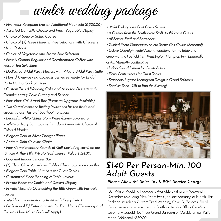winter wedding package

- *• Five Hour Reception (For an Additional Hour add \$1,500.00)*
- *• Assorted Domestic Cheese and Fresh Vegetable Display*
- *• Choice of Soup or Salad Course*
- *• Choice of (3) Three Plated Entrée Selections with Children's Menu Options*
- *• Choice of Vegetable and Starch Side Selection*
- *• Freshly Ground Regular and Decaffeinated Coffee with Herbal Tea Selections*
- *• Dedicated Bridal Party Hostess with Private Bridal Party Suite*
- *• Hors d 'Oeuvres and Cocktails Served Privately for Bridal Party During Cocktail Hour*
- *• Custom Tiered Wedding Cake and Assorted Desserts with Complimentary Cake Cutting and Service*
- *• Four Hour Call Brand Bar (Premium Upgrade Available)*
- *• Two Complimentary Tasting Invitations for the Bride and Groom to our "Taste of Southpointe" Event*
- *• Beautiful White China, Stem Ware & Silverware*
- *• White or Ivory Southpointe Standard Linen with Choice of Colored Napkin*
- *• Elegant Gold or Silver Charger Plates*
- *• Antique Gold Chiavari Chairs*
- *• Four Complimentary Rounds of Golf (including carts) on our 18 Hole Arthur Hills Private Golf Course (Value \$424.00)*
- *• Gourmet Indoor S mores Bar*
- *• (3) Clear Glass Votive's per Table– Client to provide candles*
- *• Elegant Gold Table Numbers for Guest Tables*
- *• Customized Floor Planning & Table Layout*
- *• Private Room for Cookie and Dessert Display*
- *• Private Veranda Overlooking the 18th Green with Portable Heater*
- *• Wedding Coordinator to Assist with Every Detail*
- *• Professional DJ Entertainment for Four Hours (Ceremony and Cocktail Hour Music Fee's will Apply)*
- *Valet Parking and Coat Check Service*
- A Greeter from the Southpointe Staff to Welcome Guests
- *•AllServiceStaffandBartenders*
- *•GuidedPhotoOpportunity on ourScenicGolfCourse (Seasonal)*
- Deluxe Overnight Hotel Accommodations for the Bride and *Groom* at the Fairfield Inn-Washington, Hampton Inn-Bridgeville *orACMarriott–Southpointe*
- Indoor Sound System for Cocktail Hour
- *•FloralCenterpieces forGuestTables*
- *•StationaryLightedMonogram Design inGrandBallroom*
- *•SparklerSend–OfftoEndtheEvening!*



## *\$140 Per Person-Min. 100 Adult Guests*

#### *Please Allow 6% Sales Tax & 20% Service Charge*

Our Winter Wedding Package is Available During any Weekend in December (excluding New Years Eve), January,February, or March. This Package Includes a Custom Tired Wedding Cake, DJ Services, Floral Centerpieces and so much more! Southpointe also Offers On –Site Ceremony Capabilities in our Grand Ballroom or Outside on our Patio for an Additional \$850.00.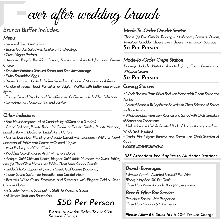ever after wedding brunch

#### *Brunch Buffet Includes:*

#### *Menu:*

- *•SeasonalFreshFruitSalad*
- *•TossedGardenSaladwithChoiceof(2)Dressings*
- *•GreekYogurtParfaits*
- *• Assorted Bagels, Breakfast Breads, Scones with Assorted Jam and Cream Cheese*
- *•BreakfastPotatoes,SmokedBacon,andBreakfastSausage*
- *•FluffyScrambledEggs*
- *•PennePastawithGrilledChickenServedwithChoiceofMarinaraorAlfredo.*
- *• Choice of French Toast, Pancakes, or Belgian Waffles with Butter and Maple Syrup*
- *•FreshlyGroundRegularandDecaffeinatedCoffeewithHerbalTeaSelections*
- *•ComplimentaryCakeCuttingandService*

#### **Other Inclusions:**

- Four Hour Reception (Must Conclude by 4:00pm on a Sunday)
- *• Grand Ballroom, Private Room for Cookie or Dessert Display, Private Veranda,* **Bridal Suite with Dedicated Bridal Party Hostess .**
- *• Customized Floor Planning and Table Layout with Standard (White or Ivory) Linens forallTableswithChoiceofColoredNapkin*
- *•ValetParking andCoatCheck*
- Wedding Coordinator to Assist with Every Detail
- *• Antique Gold Chiavari Chairs, Elegant Gold Table Numbers for Guest Tables,* and (3) Clear Glass Votives per Table-Client Must Supply Candles
- *•GuidedPhotoOpportunityonourScenicGolfCourse(Seasonal)*
- Indoor Sound System for Reception and Cocktail Hour
- *• Beautiful White China, Stemware, and Silverware with Elegant Gold or Silver Charger Plates*
- *•AGreeterfromtheSouthpointeStaff toWelcomeGuests*
- *•AllServiceStaffandBartenders*

## *\$50 Per Person*

*Please Allow 6% Sales Tax & 20% Service Charge*

#### *Made-To -Order Omelet Station*

*Choose (5) Five Omelet Toppings– Mushrooms, Peppers, Onions, Tomatoes,CheddarCheese,SwissCheese,Ham,Bacon,Sausage \$6 Per Person*

#### *Made-To -OrderCrepe Station*

*Toppings Include Nutella, Assorted Jam, Fresh Berries and WhippedCream*

#### *\$6 Per Person*

#### **Carving Stations**

- *•WholeRoastedPrimeRibofBeefwithHorseradishCreamSauceand AusJus*
- *•RoastedBonelessTurkeyBreastServedwithChef'sSelectionofSauces andCondiments*
- *•WholeBonelessHamSlowRoastedandServedwithChef'sSelections ofSaucesandCondiments*
- *• Herb Marinated While Roasted Rack of Lamb Accompanied with WholeGrainMustard*
- *• Tender Filet Mignon Roasted and Served with Chef's Selection of Sauces*

*INQUIREWITHINFORPRICING*

*\$85 Attendant Fee Applies to All Action Stations*

#### *Brunch Beverages*

*Mimosa Bar with Assorted Juices \$7 Per Drink BloodyMayBar-\$10PerDrink ThreeHourNon–AlcoholicBar-\$12. perperson*

#### *Beer &Wine Bar Service*

*Two Hour Service - \$22 Per person Three Hour Service - \$25 Per person* 

*Please Allow 6% Sales Tax & 20% Service Charge*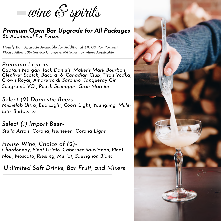wine  ${\mathscr E}$  spirits

#### *Premium Open Bar Upgrade for All Packages \$6 Additional Per Person*

*Hourly Bar Upgrade Available for Additional \$10.00 Per Person) Please Allow 20% Service Charge & 6% Sales Tax where Applicable*

*Premium Liquors-Captain Morgan, Jack Daniels, Maker's Mark Bourbon, Glenlivet Scotch, Bacardi 8, Canadian Club, Tito's Vodka, Crown Royal, Amaretto di Saronno, Tanqueray Gin, Seagram's VO , Peach Schnapps, Gran Marnier*

*Select (2) Domestic Beers - Michelob Ultra, Bud Light, Coors Light, Yuengling, Miller Lite, Budweiser*

*Select (1) Import Beer-Stella Artois, Corona, Heineken, Corona Light*

*House Wine, Choice of (2)- Chardonnay, Pinot Grigio, Cabernet Sauvignon, Pinot Noir, Moscato, Riesling, Merlot, Sauvignon Blanc*

*Unlimited Soft Drinks, Bar Fruit, and Mixers*

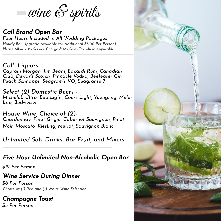wine  ${\mathscr E}$  spirits

#### *Call Brand Open Bar*

*Hourly Bar Upgrade Available for Additional \$8.00 Per Person) Please Allow 20% Service Charge & 6% Sales Tax where Applicable Four Hours Included in All Wedding Packages*

#### *Call Liquors-*

*Captain Morgan, Jim Beam, Bacardi Rum, Canadian Club, Dewar's Scotch, Pinnacle Vodka, Beefeater Gin, Peach Schnapps, Seagram's VO, Seagram's 7*

*Select (2) Domestic Beers - Michelob Ultra, Bud Light, Coors Light, Yuengling, Miller Lite, Budweiser*

*House Wine, Choice of (2)- Chardonnay, Pinot Grigio, Cabernet Sauvignon, Pinot Noir, Moscato, Riesling, Merlot, Sauvignon Blanc*

*Unlimited Soft Drinks, Bar Fruit, and Mixers*

### *Five Hour Unlimited Non-Alcoholic Open Bar*

*\$12 Per Person*

### *Wine Service During Dinner*

*\$8 Per Person Choice of (1) Red and (1) White Wine Selection*

*Champagne Toast \$5 Per Person*

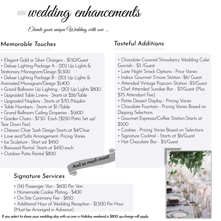wedding enhancements

Elevate your unique Wedding with our ...

#### *Memorable Touches*

- Elegant Gold or Silver Chargers \$1.50/Guest
- Deluxe Lighting Package A (20) Up Lights & Stationary Monogram/Design \$1,300
- Deluxe Lighting Package B (20) Up Lights & Animated Monogram/Design \$1,400
- Grand Ballroom Up Lighting (20) Up Lights \$800
- Upgraded Table Linens Starts at \$26/Table
- Upgraded Napkins Starts at \$.70 /Napkin
- Table Numbers Starts at \$1 /Table
- Grand Ballroom Ceiling Draperies \$1,600
- Garden Chairs \$7.50 Each (\$250 Patio Set up/ Tear Down Fee)
- Chiavari Chair Sash Design-Starts at \$4/Chair
- Love seat/Sofa Arrangement- Pricing Varies
- Ice Sculpture Start sat \$450
- Boxwood Rental- Starts at \$450 each
- Outdoor Patio Rental \$800

### *Tasteful Additions*

- Chocolate Covered Strawberry Wedding Cake Garnish - \$3 /Guest
- Late Night Snack Options Price Varies
- Indoor Gourmet S'more Station -\$6/ Guest
- Attended Vintage Popcorn Station -\$5/Guest
- Chef Attended Sundae Bar \$7/Guest (Plus
- \$75 Attendant Fee)
- Petite Dessert Display Pricing Varies
- Chocolate Fountain Pricing Varies Based on Dipping Selections
- Gourmet Espresso/Coffee Station-Starts at \$500
- Cookies Pricing Varies Based on Selections
- Signature Cocktail Starts at \$6/Guest
- Hot Chocolate Bar \$5/Guest



#### *Signature Services*

- (14) Passenger Van \$600 Per Van
- Homemade Cookie Plating \$400
- On-Site Ceremony Fee \$850
- Additional Hour of Wedding Reception \$1,500 Per Hour
- (Must be Arranged in Advance)

*If* you select to share your wedding day with us over a Holiday weekend a \$800 up-charge will apply.

*And so much more!*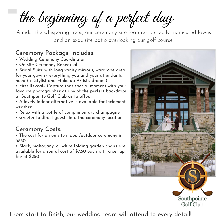the beginning of a perfect day

Amidst the whispering trees, our ceremony site features perfectly manicured lawns and an exquisite patio overlooking our golf course.

#### Ceremony Package Includes:

- Wedding Ceremony Coordinator
- On-site Ceremony Rehearsal

• Bridal Suite with long vanity mirror's, wardrobe area for your gowns– everything you and your attendants need ( a Stylist and Make-up Artist's dream!)

• First Reveal– Capture that special moment with your favorite photographer at any of the perfect backdrops at Southpointe Golf Club as to offer.

• A lovely indoor alternative is available for inclement weather

- Relax with a bottle of complimentary champagne
- Greeter to direct guests into the ceremony location

### Ceremony Costs:

• The cost for an on site indoor/outdoor ceremony is \$850

• Black, mahogany, or white folding garden chairs are available for a rental cost of \$7.50 each with a set up fee of \$250



From start to finish, our wedding team will attend to every detail!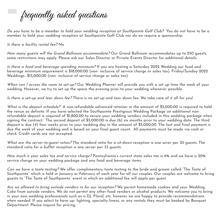frequently asked questions

Do you have to be <sup>a</sup> member to hold your wedding reception at Southpointe Golf Club? You do not have to be a member to hold your wedding reception at Southpointe Golf Club nor do we require a sponsorship.

Is there <sup>a</sup> facility rental fee? No

How many guests will the Grand Ballroom accommodate? Our Grand Ballroom accommodates up to 250 guests, some restrictions may apply. Please ask our Sales Director or Private Events Director for additional details.

Is there <sup>a</sup> food and beverage spending minimum? If you are hosting a Saturday 2022 Wedding our food and beverage minimum requirement is \$18,000.00 (non- inclusive of service charge or sales tax). Friday/Sunday 2022 Weddings- \$15,000.00 (non- inclusive of service charge or sales tax)

When can I access the room to set-up? Our Wedding Planner will provide you with a set up time the week of your wedding. However, we try to set up the space the evening prior to your wedding whenever possible.

Is there <sup>a</sup> set-up and tear down fee? There is no set-up and tear down fee. We take care of it all for you!

What is the deposit schedule? A non-refundable advanced retainer in the amount of \$5,000.00 is required to hold the venue as definite. If you have selected the Southpointe Prestigious Wedding Package an additional nonrefundable deposit is required of \$1,800.00 to secure your wedding vendors included in this wedding package when signing the contract. The second deposit of \$5,000.00 is due (6) six months prior to your wedding date. The third deposit is due (4) four weeks prior to your wedding day in the amount of \$5,000.00. The last and final payment is due the week of your wedding and is based on your final guest count. All payments must be made via cash or check. Credit cards are not accepted.

What are the server-to-quest ratios? The standard ratio for a sit-down reception is one sever per 25 quests. The standard ratio for a buffet reception is one server per 33 guests.

How much is your sales tax and service charge? Pennsylvania's current state sales tax is 6% and we have a 20% service charge on your wedding package and any food and beverage items.

Can we have a taste testing? We offer complimentary taste testing to the bride and groom called "The Taste of Southpointe" which is held in January or February of each year for all our couples. Our couples are welcome to bring guests to "The Taste of Southpointe" event in which an additional fee will apply per guest.

Are we allowed to bring outside vendors in for our reception? We permit homemade cookies and your Wedding Cake from outside vendors. We do not permit any other food vendors or alcohol products. We welcome you to bring in your own wedding professionals such as a DJ, Floral, etc. however we are happy to provide recommendations when needed. If you select to have up- lighting, specialty linens, or any rentals they must be booked by Banquet Department. Please inquire for pricing.